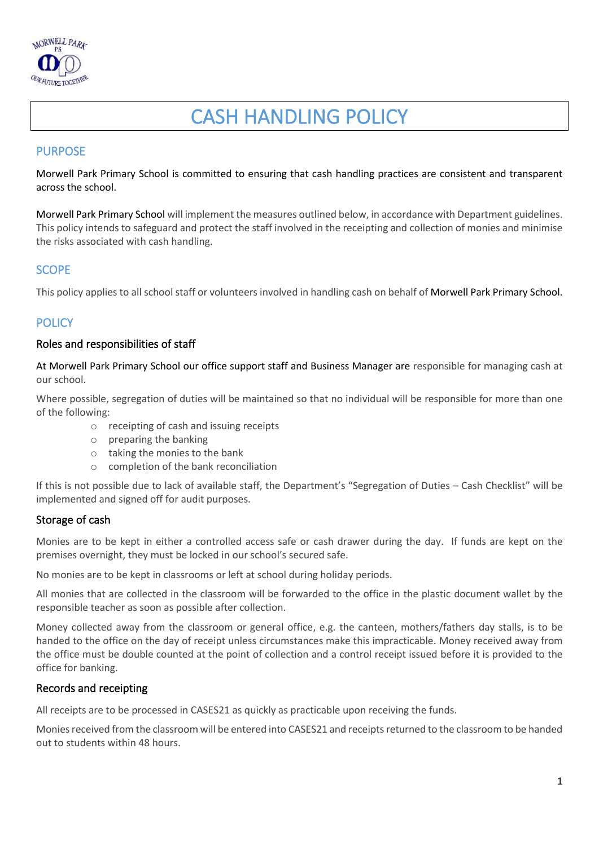

# CASH HANDLING POLICY

# PURPOSE

Morwell Park Primary School is committed to ensuring that cash handling practices are consistent and transparent across the school.

Morwell Park Primary School will implement the measures outlined below, in accordance with Department guidelines. This policy intends to safeguard and protect the staff involved in the receipting and collection of monies and minimise the risks associated with cash handling.

# **SCOPE**

This policy applies to all school staff or volunteers involved in handling cash on behalf of Morwell Park Primary School.

# **POLICY**

#### Roles and responsibilities of staff

At Morwell Park Primary School our office support staff and Business Manager are responsible for managing cash at our school.

Where possible, segregation of duties will be maintained so that no individual will be responsible for more than one of the following:

- o receipting of cash and issuing receipts
- o preparing the banking
- o taking the monies to the bank
- o completion of the bank reconciliation

If this is not possible due to lack of available staff, the Department's "Segregation of Duties – Cash Checklist" will be implemented and signed off for audit purposes.

# Storage of cash

Monies are to be kept in either a controlled access safe or cash drawer during the day. If funds are kept on the premises overnight, they must be locked in our school's secured safe.

No monies are to be kept in classrooms or left at school during holiday periods.

All monies that are collected in the classroom will be forwarded to the office in the plastic document wallet by the responsible teacher as soon as possible after collection.

Money collected away from the classroom or general office, e.g. the canteen, mothers/fathers day stalls, is to be handed to the office on the day of receipt unless circumstances make this impracticable. Money received away from the office must be double counted at the point of collection and a control receipt issued before it is provided to the office for banking.

#### Records and receipting

All receipts are to be processed in CASES21 as quickly as practicable upon receiving the funds.

Monies received from the classroom will be entered into CASES21 and receipts returned to the classroom to be handed out to students within 48 hours.